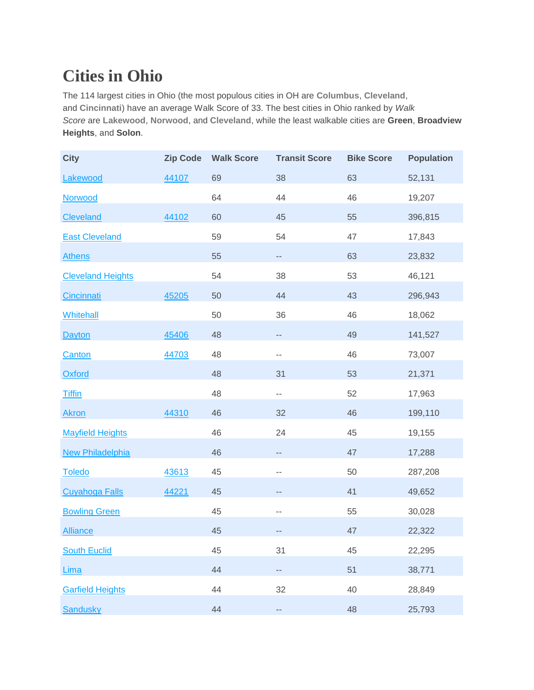## **Cities in Ohio**

The 114 largest cities in Ohio (the most populous cities in OH are **[Columbus](https://www.walkscore.com/OH/Columbus)**, **[Cleveland](https://www.walkscore.com/OH/Cleveland)**, and **[Cincinnati](https://www.walkscore.com/OH/Cincinnati)**) have an average Walk Score of 33. The best cities in Ohio ranked by *Walk Score* are **[Lakewood](https://www.walkscore.com/OH/Lakewood)**, **[Norwood](https://www.walkscore.com/OH/Norwood)**, and **[Cleveland](https://www.walkscore.com/OH/Cleveland)**, while the least walkable cities are **Green**, **Broadview Heights**, and **Solon**.

| <b>City</b>              | <b>Zip Code</b> | <b>Walk Score</b> | <b>Transit Score</b>     | <b>Bike Score</b> | <b>Population</b> |
|--------------------------|-----------------|-------------------|--------------------------|-------------------|-------------------|
| Lakewood                 | 44107           | 69                | 38                       | 63                | 52,131            |
| Norwood                  |                 | 64                | 44                       | 46                | 19,207            |
| <b>Cleveland</b>         | 44102           | 60                | 45                       | 55                | 396,815           |
| <b>East Cleveland</b>    |                 | 59                | 54                       | 47                | 17,843            |
| <b>Athens</b>            |                 | 55                | $- -$                    | 63                | 23,832            |
| <b>Cleveland Heights</b> |                 | 54                | 38                       | 53                | 46,121            |
| <b>Cincinnati</b>        | 45205           | 50                | 44                       | 43                | 296,943           |
| <b>Whitehall</b>         |                 | 50                | 36                       | 46                | 18,062            |
| <b>Dayton</b>            | 45406           | 48                | --                       | 49                | 141,527           |
| <b>Canton</b>            | 44703           | 48                | $\overline{\phantom{m}}$ | 46                | 73,007            |
| <b>Oxford</b>            |                 | 48                | 31                       | 53                | 21,371            |
| <b>Tiffin</b>            |                 | 48                | $\overline{\phantom{a}}$ | 52                | 17,963            |
| <b>Akron</b>             | 44310           | 46                | 32                       | 46                | 199,110           |
| <b>Mayfield Heights</b>  |                 | 46                | 24                       | 45                | 19,155            |
| <b>New Philadelphia</b>  |                 | 46                | $-$                      | 47                | 17,288            |
| <b>Toledo</b>            | 43613           | 45                | $- -$                    | 50                | 287,208           |
| <b>Cuyahoga Falls</b>    | 44221           | 45                | --                       | 41                | 49,652            |
| <b>Bowling Green</b>     |                 | 45                | $-$                      | 55                | 30,028            |
| <b>Alliance</b>          |                 | 45                | $\qquad \qquad -$        | 47                | 22,322            |
| <b>South Euclid</b>      |                 | 45                | 31                       | 45                | 22,295            |
| Lima                     |                 | 44                | --                       | 51                | 38,771            |
| <b>Garfield Heights</b>  |                 | 44                | 32                       | 40                | 28,849            |
| <b>Sandusky</b>          |                 | 44                | --                       | 48                | 25,793            |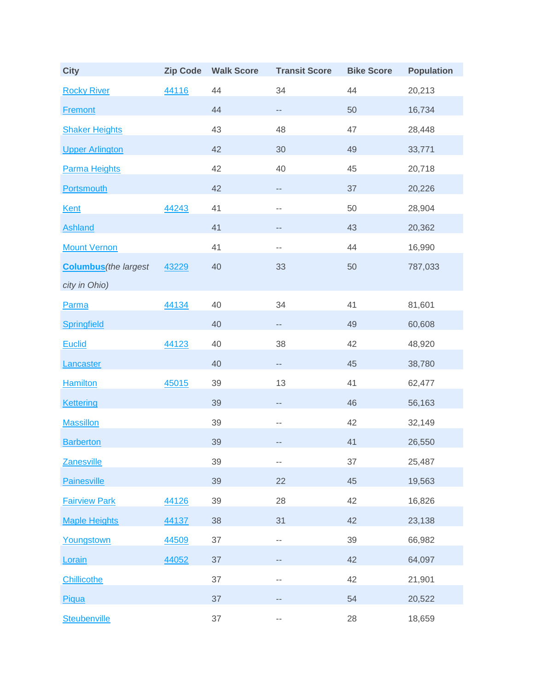| <b>City</b>                  | <b>Zip Code</b> | <b>Walk Score</b> | <b>Transit Score</b>     | <b>Bike Score</b> | <b>Population</b> |
|------------------------------|-----------------|-------------------|--------------------------|-------------------|-------------------|
| <b>Rocky River</b>           | 44116           | 44                | 34                       | 44                | 20,213            |
| <b>Fremont</b>               |                 | 44                | $\overline{\phantom{a}}$ | 50                | 16,734            |
| <b>Shaker Heights</b>        |                 | 43                | 48                       | 47                | 28,448            |
| <b>Upper Arlington</b>       |                 | 42                | 30                       | 49                | 33,771            |
| <b>Parma Heights</b>         |                 | 42                | 40                       | 45                | 20,718            |
| <b>Portsmouth</b>            |                 | 42                | $\overline{\phantom{m}}$ | 37                | 20,226            |
| <b>Kent</b>                  | 44243           | 41                | $\overline{\phantom{m}}$ | 50                | 28,904            |
| <b>Ashland</b>               |                 | 41                | $-\,-$                   | 43                | 20,362            |
| <b>Mount Vernon</b>          |                 | 41                | $\sim$ $-$               | 44                | 16,990            |
| <b>Columbus</b> (the largest | 43229           | 40                | 33                       | 50                | 787,033           |
| city in Ohio)                |                 |                   |                          |                   |                   |
| Parma                        | 44134           | 40                | 34                       | 41                | 81,601            |
| <b>Springfield</b>           |                 | 40                | $\overline{\phantom{a}}$ | 49                | 60,608            |
| <b>Euclid</b>                | 44123           | 40                | 38                       | 42                | 48,920            |
| Lancaster                    |                 | 40                | $\overline{\phantom{a}}$ | 45                | 38,780            |
| <b>Hamilton</b>              | 45015           | 39                | 13                       | 41                | 62,477            |
| <b>Kettering</b>             |                 | 39                | $\overline{\phantom{a}}$ | 46                | 56,163            |
| <b>Massillon</b>             |                 | 39                | $\overline{\phantom{m}}$ | 42                | 32,149            |
| <b>Barberton</b>             |                 | 39                | $-\, -$                  | 41                | 26,550            |
| <b>Zanesville</b>            |                 | 39                | $-\,-$                   | 37                | 25,487            |
| <b>Painesville</b>           |                 | 39                | 22                       | 45                | 19,563            |
| <b>Fairview Park</b>         | 44126           | 39                | 28                       | 42                | 16,826            |
| <b>Maple Heights</b>         | 44137           | 38                | 31                       | 42                | 23,138            |
| Youngstown                   | 44509           | 37                | $-\,-$                   | 39                | 66,982            |
| Lorain                       | 44052           | 37                | $- -$                    | 42                | 64,097            |
| <b>Chillicothe</b>           |                 | 37                | $\sim$ $-$               | 42                | 21,901            |
| Piqua                        |                 | 37                | $-\, -$                  | 54                | 20,522            |
| Steubenville                 |                 | 37                | $\overline{\phantom{m}}$ | 28                | 18,659            |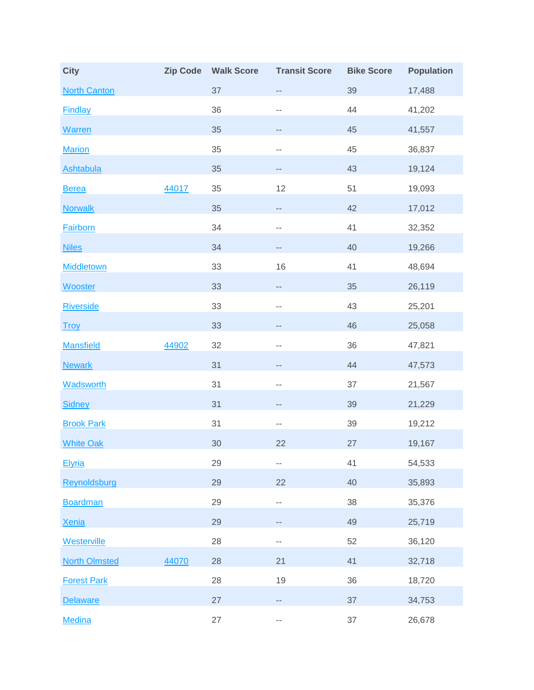| <b>City</b>          | <b>Zip Code</b> | <b>Walk Score</b> | <b>Transit Score</b>     | <b>Bike Score</b> | <b>Population</b> |
|----------------------|-----------------|-------------------|--------------------------|-------------------|-------------------|
| <b>North Canton</b>  |                 | 37                | --                       | 39                | 17,488            |
| <b>Findlay</b>       |                 | 36                | $-$                      | 44                | 41,202            |
| <b>Warren</b>        |                 | 35                | --                       | 45                | 41,557            |
| <b>Marion</b>        |                 | 35                | $-$                      | 45                | 36,837            |
| <b>Ashtabula</b>     |                 | 35                | --                       | 43                | 19,124            |
| <b>Berea</b>         | 44017           | 35                | 12                       | 51                | 19,093            |
| <b>Norwalk</b>       |                 | 35                | $\overline{\phantom{a}}$ | 42                | 17,012            |
| <b>Fairborn</b>      |                 | 34                | $- -$                    | 41                | 32,352            |
| <b>Niles</b>         |                 | 34                | --                       | 40                | 19,266            |
| <b>Middletown</b>    |                 | 33                | 16                       | 41                | 48,694            |
| <b>Wooster</b>       |                 | 33                | $\overline{\phantom{a}}$ | 35                | 26,119            |
| <b>Riverside</b>     |                 | 33                | $-$                      | 43                | 25,201            |
| <b>Troy</b>          |                 | 33                | $-$                      | 46                | 25,058            |
| <b>Mansfield</b>     | 44902           | 32                | --                       | 36                | 47,821            |
| <b>Newark</b>        |                 | 31                | $-$                      | 44                | 47,573            |
| <b>Wadsworth</b>     |                 | 31                | $- -$                    | 37                | 21,567            |
| <b>Sidney</b>        |                 | 31                | --                       | 39                | 21,229            |
| <b>Brook Park</b>    |                 | 31                | $- -$                    | 39                | 19,212            |
| <b>White Oak</b>     |                 | 30                | 22                       | 27                | 19,167            |
| Elyria               |                 | 29                | $- -$                    | 41                | 54,533            |
| Reynoldsburg         |                 | 29                | 22                       | 40                | 35,893            |
| <b>Boardman</b>      |                 | 29                | ۰.                       | 38                | 35,376            |
| <b>Xenia</b>         |                 | 29                | --                       | 49                | 25,719            |
| Westerville          |                 | 28                | ۰.                       | 52                | 36,120            |
| <b>North Olmsted</b> | 44070           | 28                | 21                       | 41                | 32,718            |
| <b>Forest Park</b>   |                 | 28                | 19                       | 36                | 18,720            |
| <b>Delaware</b>      |                 | 27                | --                       | 37                | 34,753            |
| <b>Medina</b>        |                 | 27                | --                       | 37                | 26,678            |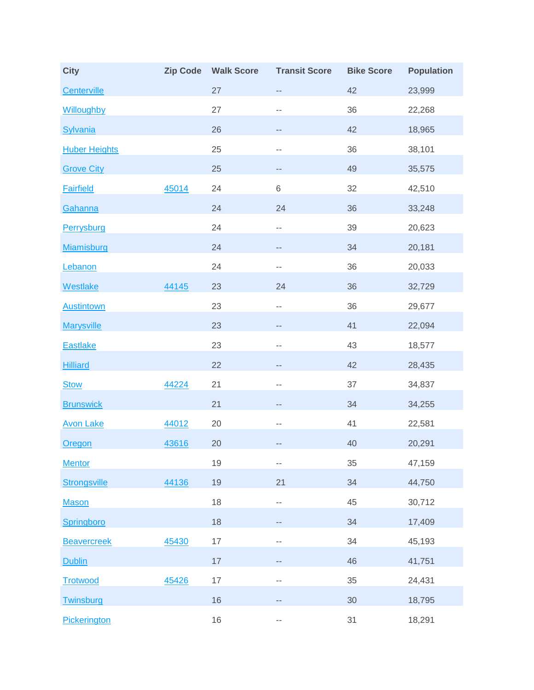| <b>City</b>          | <b>Zip Code</b> | <b>Walk Score</b> | <b>Transit Score</b>     | <b>Bike Score</b> | <b>Population</b> |
|----------------------|-----------------|-------------------|--------------------------|-------------------|-------------------|
| Centerville          |                 | 27                | $\overline{\phantom{a}}$ | 42                | 23,999            |
| Willoughby           |                 | 27                | $- -$                    | 36                | 22,268            |
| <b>Sylvania</b>      |                 | 26                | --                       | 42                | 18,965            |
| <b>Huber Heights</b> |                 | 25                | $- -$                    | 36                | 38,101            |
| <b>Grove City</b>    |                 | 25                | --                       | 49                | 35,575            |
| <b>Fairfield</b>     | 45014           | 24                | $\,6$                    | 32                | 42,510            |
| Gahanna              |                 | 24                | 24                       | 36                | 33,248            |
| Perrysburg           |                 | 24                | ۰.                       | 39                | 20,623            |
| Miamisburg           |                 | 24                | --                       | 34                | 20,181            |
| Lebanon              |                 | 24                | $- -$                    | 36                | 20,033            |
| <b>Westlake</b>      | 44145           | 23                | 24                       | 36                | 32,729            |
| <b>Austintown</b>    |                 | 23                | $-$                      | 36                | 29,677            |
| <b>Marysville</b>    |                 | 23                | --                       | 41                | 22,094            |
| <b>Eastlake</b>      |                 | 23                | $-$                      | 43                | 18,577            |
| <b>Hilliard</b>      |                 | 22                | --                       | 42                | 28,435            |
| <b>Stow</b>          | 44224           | 21                | --                       | 37                | 34,837            |
| <b>Brunswick</b>     |                 | 21                | --                       | 34                | 34,255            |
| <b>Avon Lake</b>     | 44012           | 20                | --                       | 41                | 22,581            |
| <b>Oregon</b>        | 43616           | 20                | --                       | 40                | 20,291            |
| <b>Mentor</b>        |                 | 19                | ۰.                       | 35                | 47,159            |
| <b>Strongsville</b>  | 44136           | 19                | 21                       | 34                | 44,750            |
| <b>Mason</b>         |                 | 18                | ۰.                       | 45                | 30,712            |
| Springboro           |                 | 18                | --                       | 34                | 17,409            |
| <b>Beavercreek</b>   | 45430           | $17\,$            | $- -$                    | 34                | 45,193            |
| <b>Dublin</b>        |                 | 17                | --                       | 46                | 41,751            |
| <b>Trotwood</b>      | 45426           | 17                | $- -$                    | 35                | 24,431            |
| Twinsburg            |                 | 16                | --                       | 30                | 18,795            |
| Pickerington         |                 | 16                | --                       | 31                | 18,291            |